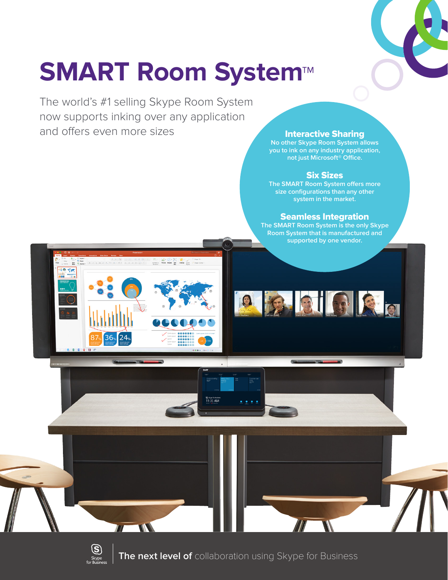# **SMART Room System™**

 $\overline{A}^{\text{max}}_{\text{1000,101}} = \underbrace{\overbrace{A}^{\text{max}}_{\text{1000,101}} \cdot \overbrace{A}^{\text{max}}_{\text{1000,101}} \cdot \underbrace{\overbrace{A}^{\text{max}}_{\text{1000,101}} \cdot \overbrace{A}^{\text{max}}_{\text{1000,101}} \cdot \overbrace{A}^{\text{max}}_{\text{max}} \cdot \overbrace{A}^{\text{max}}_{\text{max}} \cdot \overbrace{A}^{\text{max}}_{\text{max}} \cdot \overbrace{A}^{\text{max}}_{\text{max}} \cdot$ 

The world's #1 selling Skype Room System now supports inking over any application and offers even more sizes

# Interactive Sharing

**No other Skype Room System allows you to ink on any industry application, not just Microsoft® Office.** 

# Six Sizes

**The SMART Room System offers more size configurations than any other system in the market.** 

# Seamless Integration

**The SMART Room System is the only Skype Room System that is manufactured and supported by one vendor.**



 $\mathbf{w}$   $\mathbf{w}$ 

 $\frac{m}{2m}$ 10 KM

36%24

**The next level of** collaboration using Skype for Business

@ Skype for Dusiness<br>11:35 AM